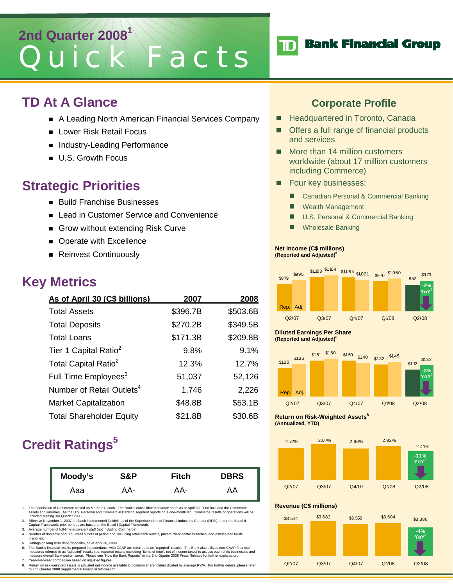# **2nd Quarter 2008<sup>1</sup>** Quick Facts

### **TD At A Glance**

- A Leading North American Financial Services Company
- **Lower Risk Retail Focus**
- Industry-Leading Performance
- **U.S. Growth Focus**

## **Strategic Priorities**

- **Build Franchise Businesses**
- Lead in Customer Service and Convenience
- Grow without extending Risk Curve
- **Derate with Excellence**
- Reinvest Continuously

# **Key Metrics**

| As of April 30 (C\$ billions)         | 2007     | 2008     |
|---------------------------------------|----------|----------|
| <b>Total Assets</b>                   | \$396.7B | \$503.6B |
| <b>Total Deposits</b>                 | \$270.2B | \$349.5B |
| <b>Total Loans</b>                    | \$171.3B | \$209.8B |
| Tier 1 Capital Ratio <sup>2</sup>     | 9.8%     | 9.1%     |
| Total Capital Ratio <sup>2</sup>      | 12.3%    | 12.7%    |
| Full Time Employees <sup>3</sup>      | 51,037   | 52,126   |
| Number of Retail Outlets <sup>4</sup> | 1,746    | 2,226    |
| <b>Market Capitalization</b>          | \$48.8B  | \$53.1B  |
| <b>Total Shareholder Equity</b>       | \$21.8B  | \$30.6B  |

# **Credit Ratings**<sup>5</sup>

| Moody's | S&P | <b>Fitch</b> | <b>DBRS</b> |
|---------|-----|--------------|-------------|
| Aaa     | AA- | AA-          | AA          |

1. The acquisition of Commerce closed on March 31, 2008. The Bank's consolidated balance sheet as at April 30, 2008 included the Commerce<br>assets and liabilities. As the U.S. Personal and Commercial Banking segment reports

- 2. Effective November 1, 2007 the bank implemented Guidelines of the Superintendent of Financial Industries Canada (OFSI) under the Basel II<br>Capital Framework; prior periods are based on the Basel I Capital Framework.<br>3. A
- 
- 4. Number of domestic and U.S. retail outlets at period end, including retail bank outlets, private client centre branches, and estates and trusts branches.
- 5. Ratings on long term debt (deposits), as at April 30, 2008.<br>6. The Bank's financial results prepared in accordance with

6. The Bank's financial results prepared in accordance with GAAP are referred to as "reported" results. The Bank also utilizes non-GAAP financial measures referred to as "adjusted" results (i.e. reported results excluding "items of note", net of income taxes) to assess each of its businesses and<br>measure overall Bank performance. Please see "How the Bank Reports" in 7. Year-over-year comparison based on adjusted figures.

8. Return on risk-weighted assets is adjusted net income available to common shareholders divided by average RWA. For further details, please refer to 2nd Quarter 2008 Supplemental Financial Information.

### **Corporate Profile**

**Bank Financial Group** 

- Headquartered in Toronto, Canada
- Offers a full range of financial products and services
- More than 14 million customers worldwide (about 17 million customers including Commerce)
- **Four key businesses:**

 ${\bf \overline D}$ 

- Canadian Personal & Commercial Banking
- **Nealth Management**
- U.S. Personal & Commercial Banking
- **Number 2** Wholesale Banking

#### **Net Income (C\$ millions) (Reported and Adjusted)6**



**Diluted Earnings Per Share (Reported and Adjusted)6**



**Return on Risk-Weighted Assets**<sup>8</sup> **(Annualized, YTD)** 



#### **Revenue (C\$ millions)**